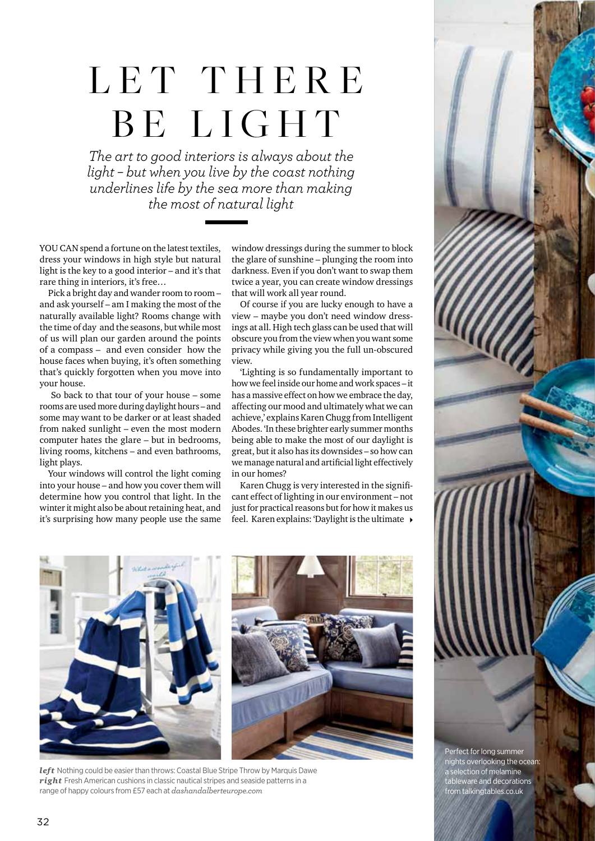## LET THERE BE LIGHT

*The art to good interiors is always about the light – but when you live by the coast nothing underlines life by the sea more than making the most of natural light*

YOU CAN spend a fortune on the latest textiles, dress your windows in high style but natural light is the key to a good interior – and it's that rare thing in interiors, it's free…

Pick a bright day and wander room to room – and ask yourself – am I making the most of the naturally available light? Rooms change with the time of day and the seasons, but while most of us will plan our garden around the points of a compass – and even consider how the house faces when buying, it's often something that's quickly forgotten when you move into your house.

 So back to that tour of your house – some rooms are used more during daylight hours – and some may want to be darker or at least shaded from naked sunlight – even the most modern computer hates the glare – but in bedrooms, living rooms, kitchens – and even bathrooms, light plays.

Your windows will control the light coming into your house – and how you cover them will determine how you control that light. In the winter it might also be about retaining heat, and it's surprising how many people use the same window dressings during the summer to block the glare of sunshine – plunging the room into darkness. Even if you don't want to swap them twice a year, you can create window dressings that will work all year round.

Of course if you are lucky enough to have a view – maybe you don't need window dressings at all. High tech glass can be used that will obscure you from the view when you want some privacy while giving you the full un-obscured view.

'Lighting is so fundamentally important to how we feel inside our home and work spaces – it has a massive effect on how we embrace the day, affecting our mood and ultimately what we can achieve,' explains Karen Chugg from Intelligent Abodes. 'In these brighter early summer months being able to make the most of our daylight is great, but it also has its downsides – so how can we manage natural and artificial light effectively in our homes?

Karen Chugg is very interested in the significant effect of lighting in our environment – not just for practical reasons but for how it makes us feel. Karen explains: 'Daylight is the ultimate 4



*left* Nothing could be easier than throws: Coastal Blue Stripe Throw by Marquis Dawe *right* Fresh American cushions in classic nautical stripes and seaside patterns in a range of happy colours from £57 each at *dashandalberteurope.com*

Perfect for long summer nights overlooking the ocean: a selection of melamine tableware and decorations from talkingtables.co.uk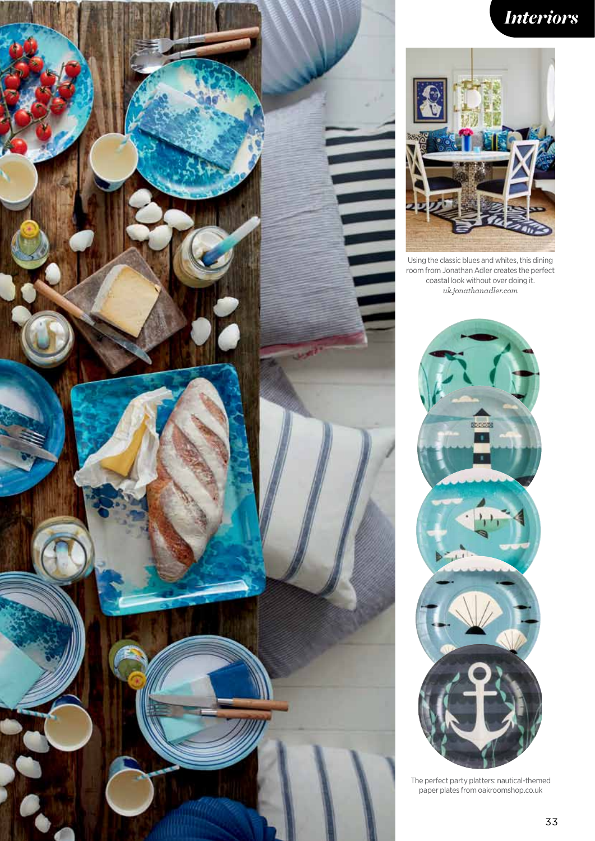

## *Interiors*



Using the classic blues and whites, this dining room from Jonathan Adler creates the perfect coastal look without over doing it. *uk.jonathanadler.com*



The perfect party platters: nautical-themed paper plates from oakroomshop.co.uk